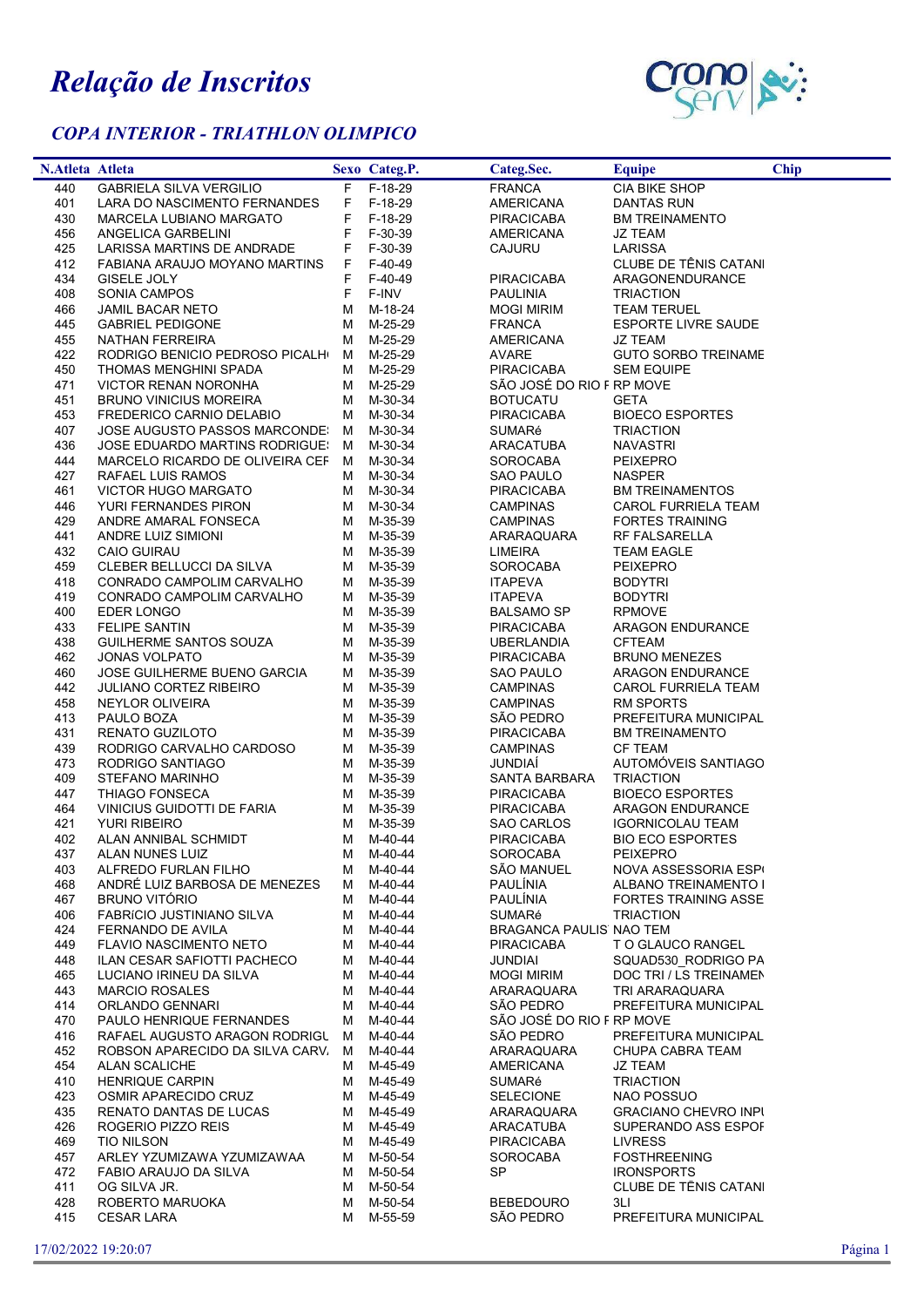## Relação de Inscritos

l,

## COPA INTERIOR - TRIATHLON OLIMPICO



| <b>N.Atleta Atleta</b> |                                                    |        | Sexo Categ.P.      | Categ.Sec.                     | Equipe                                   | <b>Chip</b> |
|------------------------|----------------------------------------------------|--------|--------------------|--------------------------------|------------------------------------------|-------------|
| 440                    | <b>GABRIELA SILVA VERGILIO</b>                     |        | F F-18-29          | <b>FRANCA</b>                  | CIA BIKE SHOP                            |             |
| 401                    | LARA DO NASCIMENTO FERNANDES                       | F.     | F-18-29            | <b>AMERICANA</b>               | DANTAS RUN                               |             |
| 430                    | MARCELA LUBIANO MARGATO                            | F      | F-18-29            | <b>PIRACICABA</b>              | <b>BM TREINAMENTO</b>                    |             |
| 456                    | ANGELICA GARBELINI                                 | F      | F-30-39            | AMERICANA                      | JZ TEAM                                  |             |
| 425                    | LARISSA MARTINS DE ANDRADE                         | F      | F-30-39            | CAJURU                         | LARISSA                                  |             |
| 412                    | FABIANA ARAUJO MOYANO MARTINS                      | F.     | F-40-49            |                                | CLUBE DE TÊNIS CATANI                    |             |
| 434                    | GISELE JOLY                                        | F      | F-40-49            | <b>PIRACICABA</b>              | ARAGONENDURANCE                          |             |
| 408                    | SONIA CAMPOS                                       | F      | F-INV              | <b>PAULINIA</b>                | <b>TRIACTION</b>                         |             |
| 466                    | JAMIL BACAR NETO                                   | м      | M-18-24            | <b>MOGI MIRIM</b>              | <b>TEAM TERUEL</b>                       |             |
| 445<br>455             | <b>GABRIEL PEDIGONE</b>                            | м<br>м | M-25-29            | <b>FRANCA</b>                  | <b>ESPORTE LIVRE SAUDE</b>               |             |
| 422                    | NATHAN FERREIRA<br>RODRIGO BENICIO PEDROSO PICALHI | M      | M-25-29<br>M-25-29 | <b>AMERICANA</b><br>AVARE      | JZ TEAM<br><b>GUTO SORBO TREINAME</b>    |             |
| 450                    | THOMAS MENGHINI SPADA                              | M      | M-25-29            | <b>PIRACICABA</b>              | <b>SEM EQUIPE</b>                        |             |
| 471                    | VICTOR RENAN NORONHA                               | M      | M-25-29            | SÃO JOSÉ DO RIO F RP MOVE      |                                          |             |
| 451                    | <b>BRUNO VINICIUS MOREIRA</b>                      | м      | M-30-34            | <b>BOTUCATU</b>                | <b>GETA</b>                              |             |
| 453                    | FREDERICO CARNIO DELABIO                           | М      | M-30-34            | <b>PIRACICABA</b>              | <b>BIOECO ESPORTES</b>                   |             |
| 407                    | JOSE AUGUSTO PASSOS MARCONDE!                      | M      | M-30-34            | <b>SUMARé</b>                  | <b>TRIACTION</b>                         |             |
| 436                    | JOSE EDUARDO MARTINS RODRIGUE!                     | M      | M-30-34            | ARACATUBA                      | <b>NAVASTRI</b>                          |             |
| 444                    | MARCELO RICARDO DE OLIVEIRA CEF M                  |        | M-30-34            | SOROCABA                       | <b>PEIXEPRO</b>                          |             |
| 427                    | RAFAEL LUIS RAMOS                                  | м      | M-30-34            | SAO PAULO                      | <b>NASPER</b>                            |             |
| 461                    | VICTOR HUGO MARGATO                                | м      | M-30-34            | <b>PIRACICABA</b>              | <b>BM TREINAMENTOS</b>                   |             |
| 446                    | YURI FERNANDES PIRON                               | м      | M-30-34            | <b>CAMPINAS</b>                | CAROL FURRIELA TEAM                      |             |
| 429                    | ANDRE AMARAL FONSECA                               | м      | M-35-39            | <b>CAMPINAS</b>                | <b>FORTES TRAINING</b>                   |             |
| 441                    | ANDRE LUIZ SIMIONI                                 | M      | M-35-39            | ARARAQUARA                     | <b>RF FALSARELLA</b>                     |             |
| 432                    | <b>CAIO GUIRAU</b>                                 | м      | M-35-39            | <b>LIMEIRA</b>                 | <b>TEAM EAGLE</b>                        |             |
| 459                    | CLEBER BELLUCCI DA SILVA                           | м      | M-35-39            | <b>SOROCABA</b>                | <b>PEIXEPRO</b>                          |             |
| 418                    | CONRADO CAMPOLIM CARVALHO                          | М      | M-35-39            | <b>ITAPEVA</b>                 | <b>BODYTRI</b>                           |             |
| 419                    | CONRADO CAMPOLIM CARVALHO                          | м      | M-35-39            | <b>ITAPEVA</b>                 | <b>BODYTRI</b>                           |             |
| 400                    | EDER LONGO                                         | м      | M-35-39            | BALSAMO SP                     | <b>RPMOVE</b>                            |             |
| 433                    | <b>FELIPE SANTIN</b>                               | м      | M-35-39            | <b>PIRACICABA</b>              | <b>ARAGON ENDURANCE</b>                  |             |
| 438                    | GUILHERME SANTOS SOUZA                             | м      | M-35-39            | <b>UBERLANDIA</b>              | <b>CFTEAM</b>                            |             |
| 462                    | JONAS VOLPATO                                      | м      | M-35-39            | <b>PIRACICABA</b>              | <b>BRUNO MENEZES</b>                     |             |
| 460                    | JOSE GUILHERME BUENO GARCIA                        | м      | M-35-39            | SAO PAULO                      | ARAGON ENDURANCE                         |             |
| 442                    | <b>JULIANO CORTEZ RIBEIRO</b>                      | м      | M-35-39            | CAMPINAS                       | CAROL FURRIELA TEAM                      |             |
| 458<br>413             | NEYLOR OLIVEIRA<br>PAULO BOZA                      | м<br>м | M-35-39<br>M-35-39 | CAMPINAS<br>SÃO PEDRO          | <b>RM SPORTS</b><br>PREFEITURA MUNICIPAL |             |
| 431                    | RENATO GUZILOTO                                    | м      | M-35-39            | <b>PIRACICABA</b>              | <b>BM TREINAMENTO</b>                    |             |
| 439                    | RODRIGO CARVALHO CARDOSO                           | м      | M-35-39            | <b>CAMPINAS</b>                | <b>CF TEAM</b>                           |             |
| 473                    | RODRIGO SANTIAGO                                   | м      | M-35-39            | <b>JUNDIAI</b>                 | AUTOMÓVEIS SANTIAGO                      |             |
| 409                    | STEFANO MARINHO                                    | М      | M-35-39            | <b>SANTA BARBARA</b>           | <b>TRIACTION</b>                         |             |
| 447                    | THIAGO FONSECA                                     | м      | M-35-39            | <b>PIRACICABA</b>              | <b>BIOECO ESPORTES</b>                   |             |
| 464                    | VINICIUS GUIDOTTI DE FARIA                         | м      | M-35-39            | <b>PIRACICABA</b>              | ARAGON ENDURANCE                         |             |
| 421                    | <b>YURI RIBEIRO</b>                                | м      | M-35-39            | SAO CARLOS                     | <b>IGORNICOLAU TEAM</b>                  |             |
| 402                    | ALAN ANNIBAL SCHMIDT                               |        | M M-40-44          | <b>PIRACICABA</b>              | <b>BIO ECO ESPORTES</b>                  |             |
| 437                    | ALAN NUNES LUIZ                                    |        | M M-40-44          | <b>SOROCABA</b>                | PEIXEPRO                                 |             |
| 403                    | ALFREDO FURLAN FILHO                               | M      | M-40-44            | SÃO MANUEL                     | NOVA ASSESSORIA ESP                      |             |
| 468                    | ANDRÉ LUIZ BARBOSA DE MENEZES                      | м      | M-40-44            | <b>PAULÍNIA</b>                | ALBANO TREINAMENTO I                     |             |
| 467                    | <b>BRUNO VITÓRIO</b>                               | м      | M-40-44            | <b>PAULÍNIA</b>                | <b>FORTES TRAINING ASSE</b>              |             |
| 406                    | <b>FABRICIO JUSTINIANO SILVA</b>                   | м      | M-40-44            | SUMARé                         | <b>TRIACTION</b>                         |             |
| 424                    | <b>FERNANDO DE AVILA</b>                           | м      | M-40-44            | BRAGANCA PAULIS' NAO TEM       |                                          |             |
| 449                    | <b>FLAVIO NASCIMENTO NETO</b>                      | м      | M-40-44            | <b>PIRACICABA</b>              | T O GLAUCO RANGEL                        |             |
| 448                    | ILAN CESAR SAFIOTTI PACHECO                        | м      | M-40-44            | <b>JUNDIAI</b>                 | SQUAD530 RODRIGO PA                      |             |
| 465                    | LUCIANO IRINEU DA SILVA                            | м      | M-40-44            | <b>MOGI MIRIM</b>              | DOC TRI / LS TREINAMEN                   |             |
| 443                    | <b>MARCIO ROSALES</b>                              | м      | M-40-44            | ARARAQUARA                     | TRI ARARAQUARA                           |             |
| 414                    | ORLANDO GENNARI                                    | м      | M-40-44            | SÃO PEDRO                      | PREFEITURA MUNICIPAL                     |             |
| 470                    | PAULO HENRIQUE FERNANDES                           | м      | M-40-44            | SÃO JOSÉ DO RIO F RP MOVE      |                                          |             |
| 416                    | RAFAEL AUGUSTO ARAGON RODRIGU                      | M      | M-40-44            | SÃO PEDRO                      | PREFEITURA MUNICIPAL                     |             |
| 452                    | ROBSON APARECIDO DA SILVA CARV                     | M      | M-40-44            | ARARAQUARA                     | CHUPA CABRA TEAM                         |             |
| 454                    | ALAN SCALICHE                                      | м      | M-45-49            | <b>AMERICANA</b>               | <b>JZ TEAM</b>                           |             |
| 410                    | <b>HENRIQUE CARPIN</b>                             | м      | M-45-49            | SUMARé                         | <b>TRIACTION</b>                         |             |
| 423                    | OSMIR APARECIDO CRUZ                               | м      | M-45-49            | <b>SELECIONE</b>               | <b>NAO POSSUO</b>                        |             |
| 435                    | RENATO DANTAS DE LUCAS                             | м      | M-45-49            | ARARAQUARA                     | <b>GRACIANO CHEVRO INPI</b>              |             |
| 426<br>469             | ROGERIO PIZZO REIS<br><b>TIO NILSON</b>            | м<br>м | M-45-49<br>M-45-49 | ARACATUBA<br><b>PIRACICABA</b> | SUPERANDO ASS ESPOF<br><b>LIVRESS</b>    |             |
| 457                    | ARLEY YZUMIZAWA YZUMIZAWAA                         | м      | M-50-54            | <b>SOROCABA</b>                | <b>FOSTHREENING</b>                      |             |
| 472                    | FABIO ARAUJO DA SILVA                              | м      | M-50-54            | SP.                            | <b>IRONSPORTS</b>                        |             |
| 411                    | OG SILVA JR.                                       | м      | M-50-54            |                                | CLUBE DE TÊNIS CATANI                    |             |
| 428                    | ROBERTO MARUOKA                                    | м      | M-50-54            | <b>BEBEDOURO</b>               | 3LI                                      |             |
| 415                    | <b>CESAR LARA</b>                                  | м      | M-55-59            | SÃO PEDRO                      | PREFEITURA MUNICIPAL                     |             |
|                        |                                                    |        |                    |                                |                                          |             |